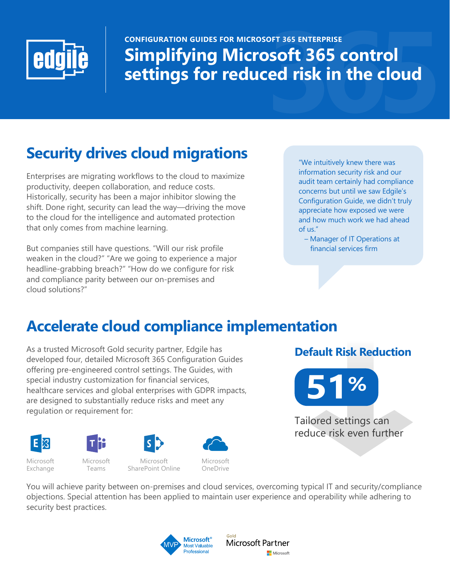

# CONFIGURATION GUIDES FOR MICROSOFT 365 ENTERPRISE<br>**Simplifying Microsoft 365 control**<br>settings for reduced risk in the cloud **Simplifying Microsoft 365 control settings for reduced risk in the cloud**

# **Security drives cloud migrations**

Enterprises are migrating workflows to the cloud to maximize productivity, deepen collaboration, and reduce costs. Historically, security has been a major inhibitor slowing the shift. Done right, security can lead the way—driving the move to the cloud for the intelligence and automated protection that only comes from machine learning.

But companies still have questions. "Will our risk profile weaken in the cloud?" "Are we going to experience a major headline-grabbing breach?" "How do we configure for risk and compliance parity between our on-premises and cloud solutions?"

"We intuitively knew there was information security risk and our audit team certainly had compliance concerns but until we saw Edgile's Configuration Guide, we didn't truly appreciate how exposed we were and how much work we had ahead of us."

 – Manager of IT Operations at financial services firm

# **Accelerate cloud compliance implementation**

As a trusted Microsoft Gold security partner, Edgile has developed four, detailed Microsoft 365 Configuration Guides offering pre-engineered control settings. The Guides, with special industry customization for financial services, healthcare services and global enterprises with GDPR impacts, are designed to substantially reduce risks and meet any regulation or requirement for:





Microsoft Exchange

Microsoft Teams

Microsoft SharePoint Online



**Default Risk Reduction**



Tailored settings can reduce risk even further

You will achieve parity between on-premises and cloud services, overcoming typical IT and security/compliance objections. Special attention has been applied to maintain user experience and operability while adhering to security best practices.



Gold Microsoft Partner Microsoft